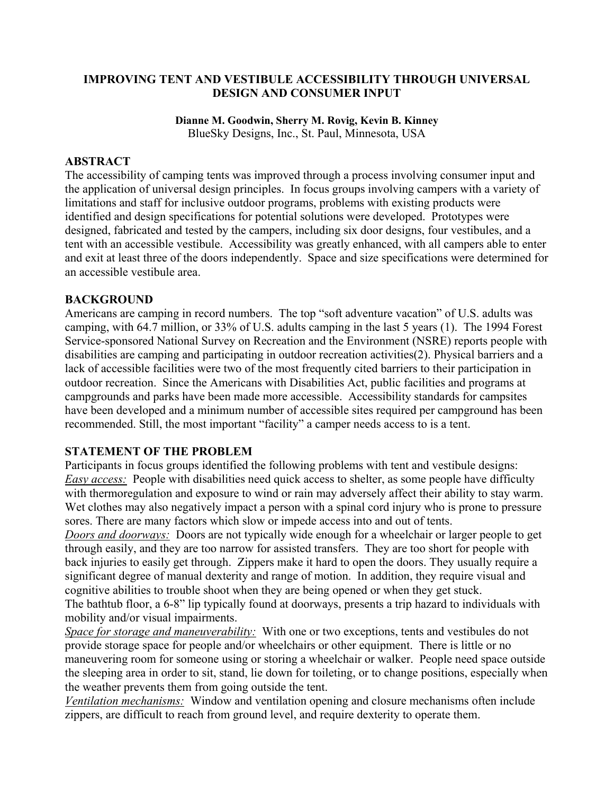### **IMPROVING TENT AND VESTIBULE ACCESSIBILITY THROUGH UNIVERSAL DESIGN AND CONSUMER INPUT**

#### **Dianne M. Goodwin, Sherry M. Rovig, Kevin B. Kinney**

BlueSky Designs, Inc., St. Paul, Minnesota, USA

### **ABSTRACT**

The accessibility of camping tents was improved through a process involving consumer input and the application of universal design principles. In focus groups involving campers with a variety of limitations and staff for inclusive outdoor programs, problems with existing products were identified and design specifications for potential solutions were developed. Prototypes were designed, fabricated and tested by the campers, including six door designs, four vestibules, and a tent with an accessible vestibule. Accessibility was greatly enhanced, with all campers able to enter and exit at least three of the doors independently. Space and size specifications were determined for an accessible vestibule area.

#### **BACKGROUND**

Americans are camping in record numbers. The top "soft adventure vacation" of U.S. adults was camping, with 64.7 million, or 33% of U.S. adults camping in the last 5 years (1). The 1994 Forest Service-sponsored National Survey on Recreation and the Environment (NSRE) reports people with disabilities are camping and participating in outdoor recreation activities(2). Physical barriers and a lack of accessible facilities were two of the most frequently cited barriers to their participation in outdoor recreation. Since the Americans with Disabilities Act, public facilities and programs at campgrounds and parks have been made more accessible. Accessibility standards for campsites have been developed and a minimum number of accessible sites required per campground has been recommended. Still, the most important "facility" a camper needs access to is a tent.

#### **STATEMENT OF THE PROBLEM**

Participants in focus groups identified the following problems with tent and vestibule designs: *Easy access:* People with disabilities need quick access to shelter, as some people have difficulty with thermoregulation and exposure to wind or rain may adversely affect their ability to stay warm. Wet clothes may also negatively impact a person with a spinal cord injury who is prone to pressure sores. There are many factors which slow or impede access into and out of tents.

*Doors and doorways:* Doors are not typically wide enough for a wheelchair or larger people to get through easily, and they are too narrow for assisted transfers. They are too short for people with back injuries to easily get through. Zippers make it hard to open the doors. They usually require a significant degree of manual dexterity and range of motion. In addition, they require visual and cognitive abilities to trouble shoot when they are being opened or when they get stuck.

The bathtub floor, a 6-8" lip typically found at doorways, presents a trip hazard to individuals with mobility and/or visual impairments.

*Space for storage and maneuverability:* With one or two exceptions, tents and vestibules do not provide storage space for people and/or wheelchairs or other equipment. There is little or no maneuvering room for someone using or storing a wheelchair or walker. People need space outside the sleeping area in order to sit, stand, lie down for toileting, or to change positions, especially when the weather prevents them from going outside the tent.

*Ventilation mechanisms:* Window and ventilation opening and closure mechanisms often include zippers, are difficult to reach from ground level, and require dexterity to operate them.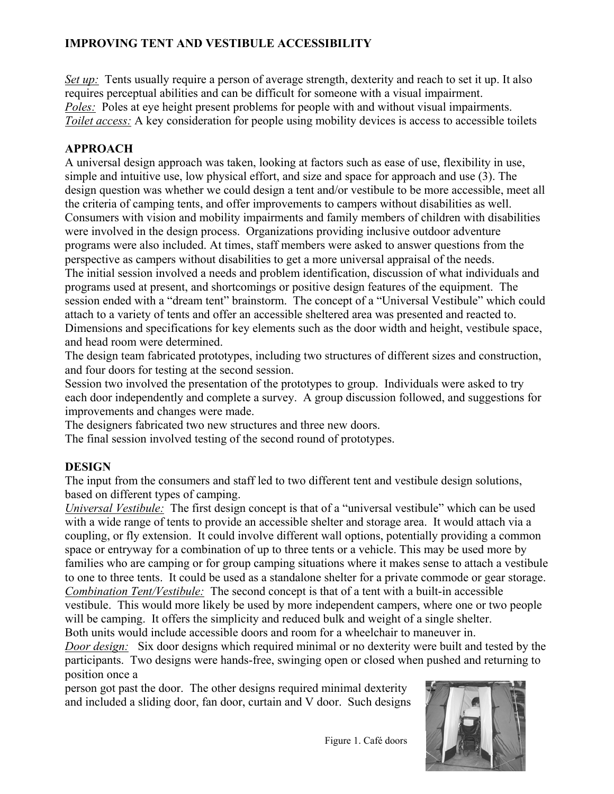# **IMPROVING TENT AND VESTIBULE ACCESSIBILITY**

*Set up:* Tents usually require a person of average strength, dexterity and reach to set it up. It also requires perceptual abilities and can be difficult for someone with a visual impairment. *Poles:* Poles at eye height present problems for people with and without visual impairments. *Toilet access:* A key consideration for people using mobility devices is access to accessible toilets

# **APPROACH**

A universal design approach was taken, looking at factors such as ease of use, flexibility in use, simple and intuitive use, low physical effort, and size and space for approach and use (3). The design question was whether we could design a tent and/or vestibule to be more accessible, meet all the criteria of camping tents, and offer improvements to campers without disabilities as well. Consumers with vision and mobility impairments and family members of children with disabilities were involved in the design process. Organizations providing inclusive outdoor adventure programs were also included. At times, staff members were asked to answer questions from the perspective as campers without disabilities to get a more universal appraisal of the needs. The initial session involved a needs and problem identification, discussion of what individuals and programs used at present, and shortcomings or positive design features of the equipment. The session ended with a "dream tent" brainstorm. The concept of a "Universal Vestibule" which could attach to a variety of tents and offer an accessible sheltered area was presented and reacted to. Dimensions and specifications for key elements such as the door width and height, vestibule space, and head room were determined.

The design team fabricated prototypes, including two structures of different sizes and construction, and four doors for testing at the second session.

Session two involved the presentation of the prototypes to group. Individuals were asked to try each door independently and complete a survey. A group discussion followed, and suggestions for improvements and changes were made.

The designers fabricated two new structures and three new doors.

The final session involved testing of the second round of prototypes.

# **DESIGN**

The input from the consumers and staff led to two different tent and vestibule design solutions, based on different types of camping.

*Universal Vestibule:* The first design concept is that of a "universal vestibule" which can be used with a wide range of tents to provide an accessible shelter and storage area. It would attach via a coupling, or fly extension. It could involve different wall options, potentially providing a common space or entryway for a combination of up to three tents or a vehicle. This may be used more by families who are camping or for group camping situations where it makes sense to attach a vestibule to one to three tents. It could be used as a standalone shelter for a private commode or gear storage. *Combination Tent/Vestibule:* The second concept is that of a tent with a built-in accessible vestibule. This would more likely be used by more independent campers, where one or two people

will be camping. It offers the simplicity and reduced bulk and weight of a single shelter.

Both units would include accessible doors and room for a wheelchair to maneuver in.

*Door design:* Six door designs which required minimal or no dexterity were built and tested by the participants. Two designs were hands-free, swinging open or closed when pushed and returning to position once a

person got past the door. The other designs required minimal dexterity and included a sliding door, fan door, curtain and V door. Such designs



Figure 1. Café doors